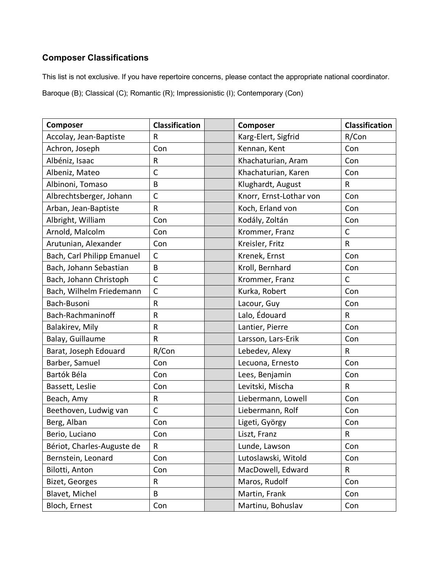## **Composer Classifications**

This list is not exclusive. If you have repertoire concerns, please contact the appropriate national coordinator.

Baroque (B); Classical (C); Romantic (R); Impressionistic (I); Contemporary (Con)

| Composer                   | <b>Classification</b> | Composer                | <b>Classification</b> |
|----------------------------|-----------------------|-------------------------|-----------------------|
| Accolay, Jean-Baptiste     | R                     | Karg-Elert, Sigfrid     | R/Con                 |
| Achron, Joseph             | Con                   | Kennan, Kent            | Con                   |
| Albéniz, Isaac             | R                     | Khachaturian, Aram      | Con                   |
| Albeniz, Mateo             | $\mathsf{C}$          | Khachaturian, Karen     | Con                   |
| Albinoni, Tomaso           | B                     | Klughardt, August       | R                     |
| Albrechtsberger, Johann    | $\mathsf{C}$          | Knorr, Ernst-Lothar von | Con                   |
| Arban, Jean-Baptiste       | ${\sf R}$             | Koch, Erland von        | Con                   |
| Albright, William          | Con                   | Kodály, Zoltán          | Con                   |
| Arnold, Malcolm            | Con                   | Krommer, Franz          | $\mathsf{C}$          |
| Arutunian, Alexander       | Con                   | Kreisler, Fritz         | ${\sf R}$             |
| Bach, Carl Philipp Emanuel | $\mathsf C$           | Krenek, Ernst           | Con                   |
| Bach, Johann Sebastian     | B                     | Kroll, Bernhard         | Con                   |
| Bach, Johann Christoph     | $\mathsf{C}$          | Krommer, Franz          | $\mathsf{C}$          |
| Bach, Wilhelm Friedemann   | $\mathsf{C}$          | Kurka, Robert           | Con                   |
| Bach-Busoni                | ${\sf R}$             | Lacour, Guy             | Con                   |
| Bach-Rachmaninoff          | ${\sf R}$             | Lalo, Édouard           | $\sf R$               |
| Balakirev, Mily            | $\mathsf R$           | Lantier, Pierre         | Con                   |
| Balay, Guillaume           | $\mathsf{R}$          | Larsson, Lars-Erik      | Con                   |
| Barat, Joseph Edouard      | R/Con                 | Lebedev, Alexy          | $\mathsf{R}$          |
| Barber, Samuel             | Con                   | Lecuona, Ernesto        | Con                   |
| Bartók Béla                | Con                   | Lees, Benjamin          | Con                   |
| Bassett, Leslie            | Con                   | Levitski, Mischa        | $\mathsf R$           |
| Beach, Amy                 | ${\sf R}$             | Liebermann, Lowell      | Con                   |
| Beethoven, Ludwig van      | $\mathsf C$           | Liebermann, Rolf        | Con                   |
| Berg, Alban                | Con                   | Ligeti, György          | Con                   |
| Berio, Luciano             | Con                   | Liszt, Franz            | $\mathsf R$           |
| Bériot, Charles-Auguste de | R                     | Lunde, Lawson           | Con                   |
| Bernstein, Leonard         | Con                   | Lutoslawski, Witold     | Con                   |
| Bilotti, Anton             | Con                   | MacDowell, Edward       | R                     |
| Bizet, Georges             | R                     | Maros, Rudolf           | Con                   |
| Blavet, Michel             | B                     | Martin, Frank           | Con                   |
| Bloch, Ernest              | Con                   | Martinu, Bohuslav       | Con                   |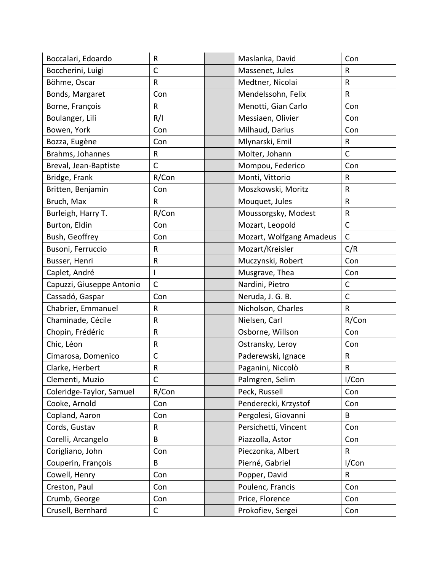| Boccalari, Edoardo        | R            | Maslanka, David          | Con          |
|---------------------------|--------------|--------------------------|--------------|
| Boccherini, Luigi         | $\mathsf{C}$ | Massenet, Jules          | R            |
| Böhme, Oscar              | R            | Medtner, Nicolai         | R            |
| Bonds, Margaret           | Con          | Mendelssohn, Felix       | ${\sf R}$    |
| Borne, François           | R            | Menotti, Gian Carlo      | Con          |
| Boulanger, Lili           | R/I          | Messiaen, Olivier        | Con          |
| Bowen, York               | Con          | Milhaud, Darius          | Con          |
| Bozza, Eugène             | Con          | Mlynarski, Emil          | ${\sf R}$    |
| Brahms, Johannes          | R            | Molter, Johann           | $\mathsf{C}$ |
| Breval, Jean-Baptiste     | $\mathsf{C}$ | Mompou, Federico         | Con          |
| Bridge, Frank             | R/Con        | Monti, Vittorio          | R            |
| Britten, Benjamin         | Con          | Moszkowski, Moritz       | R            |
| Bruch, Max                | R            | Mouquet, Jules           | R            |
| Burleigh, Harry T.        | R/Con        | Moussorgsky, Modest      | ${\sf R}$    |
| Burton, Eldin             | Con          | Mozart, Leopold          | $\mathsf{C}$ |
| Bush, Geoffrey            | Con          | Mozart, Wolfgang Amadeus | $\mathsf{C}$ |
| Busoni, Ferruccio         | R            | Mozart/Kreisler          | C/R          |
| Busser, Henri             | R            | Muczynski, Robert        | Con          |
| Caplet, André             | T            | Musgrave, Thea           | Con          |
| Capuzzi, Giuseppe Antonio | $\mathsf C$  | Nardini, Pietro          | $\mathsf{C}$ |
| Cassadó, Gaspar           | Con          | Neruda, J. G. B.         | $\mathsf{C}$ |
| Chabrier, Emmanuel        | R            | Nicholson, Charles       | ${\sf R}$    |
| Chaminade, Cécile         | R            | Nielsen, Carl            | R/Con        |
| Chopin, Frédéric          | R            | Osborne, Willson         | Con          |
| Chic, Léon                | R            | Ostransky, Leroy         | Con          |
| Cimarosa, Domenico        | $\mathsf C$  | Paderewski, Ignace       | R            |
| Clarke, Herbert           | R            | Paganini, Niccolò        | R            |
| Clementi, Muzio           | С            | Palmgren, Selim          | I/Con        |
| Coleridge-Taylor, Samuel  | R/Con        | Peck, Russell            | Con          |
| Cooke, Arnold             | Con          | Penderecki, Krzystof     | Con          |
| Copland, Aaron            | Con          | Pergolesi, Giovanni      | B            |
| Cords, Gustav             | R            | Persichetti, Vincent     | Con          |
| Corelli, Arcangelo        | B            | Piazzolla, Astor         | Con          |
| Corigliano, John          | Con          | Pieczonka, Albert        | R            |
| Couperin, François        | B            | Pierné, Gabriel          | I/Con        |
| Cowell, Henry             | Con          | Popper, David            | $\mathsf R$  |
| Creston, Paul             | Con          | Poulenc, Francis         | Con          |
| Crumb, George             | Con          | Price, Florence          | Con          |
| Crusell, Bernhard         | $\mathsf C$  | Prokofiev, Sergei        | Con          |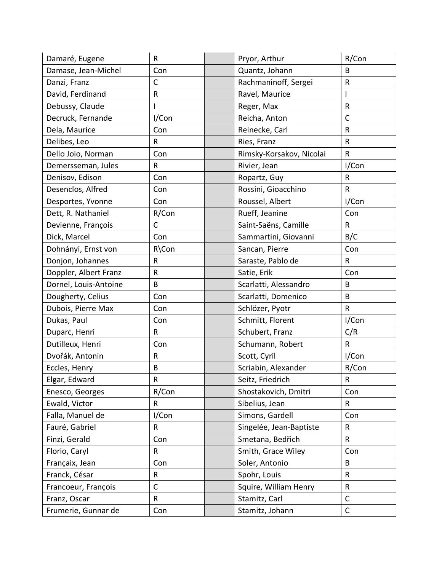| Damaré, Eugene        | R            | Pryor, Arthur            | R/Con        |
|-----------------------|--------------|--------------------------|--------------|
| Damase, Jean-Michel   | Con          | Quantz, Johann           | B            |
| Danzi, Franz          | $\mathsf C$  | Rachmaninoff, Sergei     | R            |
| David, Ferdinand      | ${\sf R}$    | Ravel, Maurice           | I            |
| Debussy, Claude       |              | Reger, Max               | R            |
| Decruck, Fernande     | I/Con        | Reicha, Anton            | $\mathsf{C}$ |
| Dela, Maurice         | Con          | Reinecke, Carl           | R            |
| Delibes, Leo          | $\sf R$      | Ries, Franz              | $\mathsf R$  |
| Dello Joio, Norman    | Con          | Rimsky-Korsakov, Nicolai | $\mathsf{R}$ |
| Demersseman, Jules    | ${\sf R}$    | Rivier, Jean             | I/Con        |
| Denisov, Edison       | Con          | Ropartz, Guy             | R            |
| Desenclos, Alfred     | Con          | Rossini, Gioacchino      | $\mathsf R$  |
| Desportes, Yvonne     | Con          | Roussel, Albert          | I/Con        |
| Dett, R. Nathaniel    | R/Con        | Rueff, Jeanine           | Con          |
| Devienne, François    | $\mathsf C$  | Saint-Saëns, Camille     | R            |
| Dick, Marcel          | Con          | Sammartini, Giovanni     | B/C          |
| Dohnányi, Ernst von   | R\Con        | Sancan, Pierre           | Con          |
| Donjon, Johannes      | $\sf R$      | Saraste, Pablo de        | $\mathsf R$  |
| Doppler, Albert Franz | $\sf R$      | Satie, Erik              | Con          |
| Dornel, Louis-Antoine | B            | Scarlatti, Alessandro    | B            |
| Dougherty, Celius     | Con          | Scarlatti, Domenico      | B            |
| Dubois, Pierre Max    | Con          | Schlözer, Pyotr          | $\mathsf R$  |
| Dukas, Paul           | Con          | Schmitt, Florent         | I/Con        |
| Duparc, Henri         | $\sf R$      | Schubert, Franz          | C/R          |
| Dutilleux, Henri      | Con          | Schumann, Robert         | $\mathsf{R}$ |
| Dvořák, Antonin       | ${\sf R}$    | Scott, Cyril             | I/Con        |
| Eccles, Henry         | B            | Scriabin, Alexander      | R/Con        |
| Elgar, Edward         | R            | Seitz, Friedrich         | R            |
| Enesco, Georges       | R/Con        | Shostakovich, Dmitri     | Con          |
| Ewald, Victor         | $\mathsf{R}$ | Sibelius, Jean           | $\mathsf R$  |
| Falla, Manuel de      | I/Con        | Simons, Gardell          | Con          |
| Fauré, Gabriel        | $\mathsf{R}$ | Singelée, Jean-Baptiste  | $\mathsf{R}$ |
| Finzi, Gerald         | Con          | Smetana, Bedřich         | R            |
| Florio, Caryl         | $\mathsf{R}$ | Smith, Grace Wiley       | Con          |
| Françaix, Jean        | Con          | Soler, Antonio           | B            |
| Franck, César         | $\sf R$      | Spohr, Louis             | $\mathsf{R}$ |
| Francoeur, François   | $\mathsf{C}$ | Squire, William Henry    | R            |
| Franz, Oscar          | $\mathsf R$  | Stamitz, Carl            | C            |
| Frumerie, Gunnar de   | Con          | Stamitz, Johann          | $\mathsf C$  |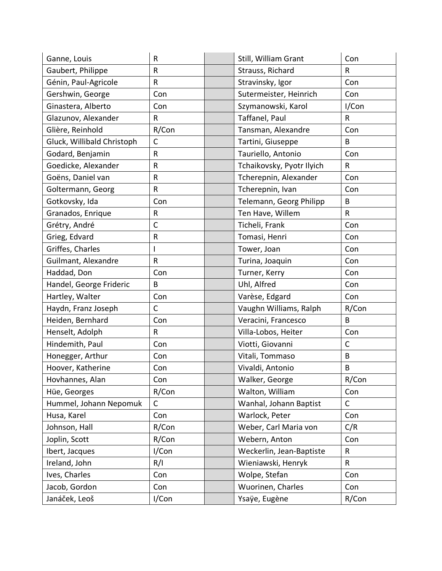| Ganne, Louis               | R            |                  | Still, William Grant      | Con         |
|----------------------------|--------------|------------------|---------------------------|-------------|
| Gaubert, Philippe          | $\sf R$      | Strauss, Richard |                           | R           |
| Génin, Paul-Agricole       | R            |                  | Stravinsky, Igor          | Con         |
| Gershwin, George           | Con          |                  | Sutermeister, Heinrich    | Con         |
| Ginastera, Alberto         | Con          |                  | Szymanowski, Karol        | I/Con       |
| Glazunov, Alexander        | R            |                  | Taffanel, Paul            | $\sf R$     |
| Glière, Reinhold           | R/Con        |                  | Tansman, Alexandre        | Con         |
| Gluck, Willibald Christoph | $\mathsf{C}$ |                  | Tartini, Giuseppe         | B           |
| Godard, Benjamin           | R            |                  | Tauriello, Antonio        | Con         |
| Goedicke, Alexander        | $\sf R$      |                  | Tchaikovsky, Pyotr Ilyich | $\mathsf R$ |
| Goëns, Daniel van          | R            |                  | Tcherepnin, Alexander     | Con         |
| Goltermann, Georg          | R            |                  | Tcherepnin, Ivan          | Con         |
| Gotkovsky, Ida             | Con          |                  | Telemann, Georg Philipp   | B           |
| Granados, Enrique          | R            |                  | Ten Have, Willem          | ${\sf R}$   |
| Grétry, André              | $\mathsf C$  |                  | Ticheli, Frank            | Con         |
| Grieg, Edvard              | ${\sf R}$    |                  | Tomasi, Henri             | Con         |
| Griffes, Charles           | L            |                  | Tower, Joan               | Con         |
| Guilmant, Alexandre        | R            |                  | Turina, Joaquin           | Con         |
| Haddad, Don                | Con          |                  | Turner, Kerry             | Con         |
| Handel, George Frideric    | B            |                  | Uhl, Alfred               | Con         |
| Hartley, Walter            | Con          |                  | Varèse, Edgard            | Con         |
| Haydn, Franz Joseph        | C            |                  | Vaughn Williams, Ralph    | R/Con       |
| Heiden, Bernhard           | Con          |                  | Veracini, Francesco       | B           |
| Henselt, Adolph            | R            |                  | Villa-Lobos, Heiter       | Con         |
| Hindemith, Paul            | Con          |                  | Viotti, Giovanni          | C           |
| Honegger, Arthur           | Con          |                  | Vitali, Tommaso           | B           |
| Hoover, Katherine          | Con          |                  | Vivaldi, Antonio          | B           |
| Hovhannes, Alan            | Con          |                  | Walker, George            | R/Con       |
| Hüe, Georges               | R/Con        |                  | Walton, William           | Con         |
| Hummel, Johann Nepomuk     | C            |                  | Wanhal, Johann Baptist    | C           |
| Husa, Karel                | Con          |                  | Warlock, Peter            | Con         |
| Johnson, Hall              | R/Con        |                  | Weber, Carl Maria von     | C/R         |
| Joplin, Scott              | R/Con        |                  | Webern, Anton             | Con         |
| Ibert, Jacques             | I/Con        |                  | Weckerlin, Jean-Baptiste  | R           |
| Ireland, John              | R/I          |                  | Wieniawski, Henryk        | R           |
| Ives, Charles              | Con          |                  | Wolpe, Stefan             | Con         |
| Jacob, Gordon              | Con          |                  | Wuorinen, Charles         | Con         |
| Janáček, Leoš              | I/Con        |                  | Ysaÿe, Eugène             | R/Con       |